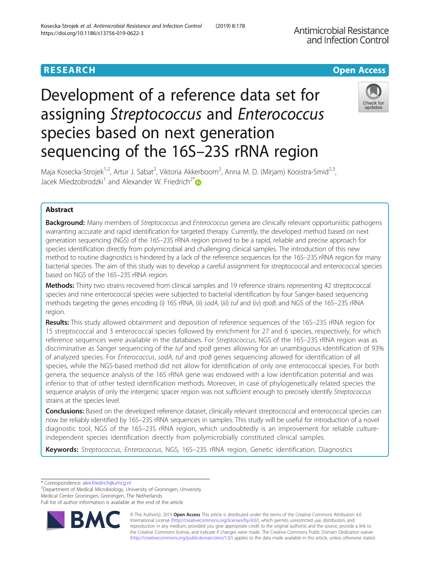# https://doi.org/10.1186/s13756-019-0622-3

Kosecka-Strojek et al. Antimicrobial Resistance and Infection Control (2019) 8:178

# **RESEARCH CHE Open Access**

# Development of a reference data set for assigning Streptococcus and Enterococcus species based on next generation sequencing of the 16S–23S rRNA region

Maja Kosecka-Strojek<sup>1,2</sup>, Artur J. Sabat<sup>2</sup>, Viktoria Akkerboom<sup>2</sup>, Anna M. D. (Mirjam) Kooistra-Smid<sup>2,3</sup>, Jacek Miedzobrodzki<sup>1</sup> and Alexander W. Friedrich<sup>2[\\*](http://orcid.org/0000-0003-4881-038X)</sup>

# Abstract

Background: Many members of Streptococcus and Enterococcus genera are clinically relevant opportunistic pathogens warranting accurate and rapid identification for targeted therapy. Currently, the developed method based on next generation sequencing (NGS) of the 16S–23S rRNA region proved to be a rapid, reliable and precise approach for species identification directly from polymicrobial and challenging clinical samples. The introduction of this new method to routine diagnostics is hindered by a lack of the reference sequences for the 16S–23S rRNA region for many bacterial species. The aim of this study was to develop a careful assignment for streptococcal and enterococcal species based on NGS of the 16S–23S rRNA region.

Methods: Thirty two strains recovered from clinical samples and 19 reference strains representing 42 streptococcal species and nine enterococcal species were subjected to bacterial identification by four Sanger-based sequencing methods targeting the genes encoding (i) 16S rRNA, (ii) sodA, (iii) tuf and (iv) rpoB; and NGS of the 16S-23S rRNA region.

Results: This study allowed obtainment and deposition of reference sequences of the 16S-23S rRNA region for 15 streptococcal and 3 enterococcal species followed by enrichment for 27 and 6 species, respectively, for which reference sequences were available in the databases. For Streptococcus, NGS of the 16S-23S rRNA region was as discriminative as Sanger sequencing of the tuf and rpoB genes allowing for an unambiguous identification of 93% of analyzed species. For Enterococcus, sodA, tuf and rpoB genes sequencing allowed for identification of all species, while the NGS-based method did not allow for identification of only one enterococcal species. For both genera, the sequence analysis of the 16S rRNA gene was endowed with a low identification potential and was inferior to that of other tested identification methods. Moreover, in case of phylogenetically related species the sequence analysis of only the intergenic spacer region was not sufficient enough to precisely identify Streptococcus strains at the species level.

**Conclusions:** Based on the developed reference dataset, clinically relevant streptococcal and enterococcal species can now be reliably identified by 16S–23S rRNA sequences in samples. This study will be useful for introduction of a novel diagnostic tool, NGS of the 16S–23S rRNA region, which undoubtedly is an improvement for reliable cultureindependent species identification directly from polymicrobially constituted clinical samples.

Keywords: Streptococcus, Enterococcus, NGS, 16S-23S rRNA region, Genetic identification, Diagnostics

\* Correspondence: [alex.friedrich@umcg.nl](mailto:alex.friedrich@umcg.nl) <sup>2</sup>

Department of Medical Microbiology, University of Groningen, University Medical Center Groningen, Groningen, The Netherlands

Full list of author information is available at the end of the article



© The Author(s). 2019 Open Access This article is distributed under the terms of the Creative Commons Attribution 4.0 International License [\(http://creativecommons.org/licenses/by/4.0/](http://creativecommons.org/licenses/by/4.0/)), which permits unrestricted use, distribution, and reproduction in any medium, provided you give appropriate credit to the original author(s) and the source, provide a link to the Creative Commons license, and indicate if changes were made. The Creative Commons Public Domain Dedication waiver [\(http://creativecommons.org/publicdomain/zero/1.0/](http://creativecommons.org/publicdomain/zero/1.0/)) applies to the data made available in this article, unless otherwise stated.

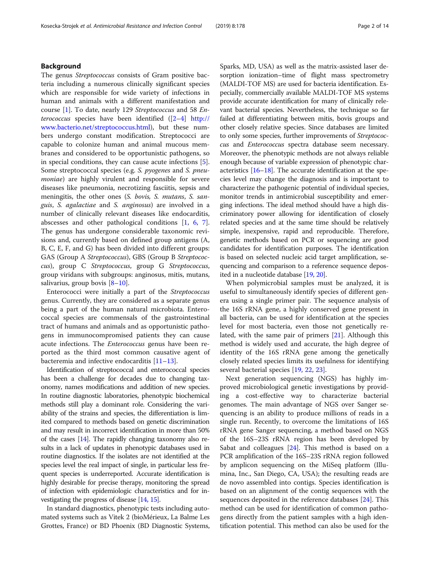# Background

The genus *Streptococcus* consists of Gram positive bacteria including a numerous clinically significant species which are responsible for wide variety of infections in human and animals with a different manifestation and course [[1\]](#page-12-0). To date, nearly 129 Streptococcus and 58 Enterococcus species have been identified ([\[2](#page-12-0)–[4](#page-12-0)] [http://](http://www.bacterio.net/streptococcus.html) [www.bacterio.net/streptococcus.html](http://www.bacterio.net/streptococcus.html)), but these numbers undergo constant modification. Streptococci are capable to colonize human and animal mucous membranes and considered to be opportunistic pathogens, so in special conditions, they can cause acute infections [\[5](#page-12-0)]. Some streptococcal species (e.g. S. *pyogenes* and S. *pneu*moniae) are highly virulent and responsible for severe diseases like pneumonia, necrotizing fasciitis, sepsis and meningitis, the other ones (S. bovis, S. mutans, S. sanguis, S. agalactiae and S. anginosus) are involved in a number of clinically relevant diseases like endocarditis, abscesses and other pathological conditions [[1,](#page-12-0) [6,](#page-12-0) [7](#page-12-0)]. The genus has undergone considerable taxonomic revisions and, currently based on defined group antigens (A, B, C, E, F, and G) has been divided into different groups: GAS (Group A Streptococcus), GBS (Group B Streptococcus), group C Streptococcus, group G Streptococcus, group viridans with subgroups: anginosus, mitis, mutans, salivarius, group bovis  $[8-10]$  $[8-10]$  $[8-10]$  $[8-10]$ .

Enterococci were initially a part of the Streptococcus genus. Currently, they are considered as a separate genus being a part of the human natural microbiota. Enterococcal species are commensals of the gastrointestinal tract of humans and animals and as opportunistic pathogens in immunocompromised patients they can cause acute infections. The *Enterococcus* genus have been reported as the third most common causative agent of bacteremia and infective endocarditis [\[11](#page-12-0)–[13](#page-12-0)].

Identification of streptococcal and enterococcal species has been a challenge for decades due to changing taxonomy, names modifications and addition of new species. In routine diagnostic laboratories, phenotypic biochemical methods still play a dominant role. Considering the variability of the strains and species, the differentiation is limited compared to methods based on genetic discrimination and may result in incorrect identification in more than 50% of the cases  $[14]$  $[14]$  $[14]$ . The rapidly changing taxonomy also results in a lack of updates in phenotypic databases used in routine diagnostics. If the isolates are not identified at the species level the real impact of single, in particular less frequent species is underreported. Accurate identification is highly desirable for precise therapy, monitoring the spread of infection with epidemiologic characteristics and for investigating the progress of disease [\[14,](#page-12-0) [15\]](#page-12-0).

In standard diagnostics, phenotypic tests including automated systems such as Vitek 2 (bioMérieux, La Balme Les Grottes, France) or BD Phoenix (BD Diagnostic Systems, Sparks, MD, USA) as well as the matrix-assisted laser desorption ionization–time of flight mass spectrometry (MALDI-TOF MS) are used for bacteria identification. Especially, commercially available MALDI-TOF MS systems provide accurate identification for many of clinically relevant bacterial species. Nevertheless, the technique so far failed at differentiating between mitis, bovis groups and other closely relative species. Since databases are limited to only some species, further improvements of Streptococcus and Enterococcus spectra database seem necessary. Moreover, the phenotypic methods are not always reliable enough because of variable expression of phenotypic characteristics  $[16–18]$  $[16–18]$  $[16–18]$  $[16–18]$ . The accurate identification at the species level may change the diagnosis and is important to characterize the pathogenic potential of individual species, monitor trends in antimicrobial susceptibility and emerging infections. The ideal method should have a high discriminatory power allowing for identification of closely related species and at the same time should be relatively simple, inexpensive, rapid and reproducible. Therefore, genetic methods based on PCR or sequencing are good candidates for identification purposes. The identification is based on selected nucleic acid target amplification, sequencing and comparison to a reference sequence deposited in a nucleotide database [[19,](#page-12-0) [20\]](#page-12-0).

When polymicrobial samples must be analyzed, it is useful to simultaneously identify species of different genera using a single primer pair. The sequence analysis of the 16S rRNA gene, a highly conserved gene present in all bacteria, can be used for identification at the species level for most bacteria, even those not genetically related, with the same pair of primers [[21\]](#page-12-0). Although this method is widely used and accurate, the high degree of identity of the 16S rRNA gene among the genetically closely related species limits its usefulness for identifying several bacterial species [[19](#page-12-0), [22](#page-12-0), [23](#page-12-0)].

Next generation sequencing (NGS) has highly improved microbiological genetic investigations by providing a cost-effective way to characterize bacterial genomes. The main advantage of NGS over Sanger sequencing is an ability to produce millions of reads in a single run. Recently, to overcome the limitations of 16S rRNA gene Sanger sequencing, a method based on NGS of the 16S–23S rRNA region has been developed by Sabat and colleagues [[24\]](#page-12-0). This method is based on a PCR amplification of the 16S–23S rRNA region followed by amplicon sequencing on the MiSeq platform (Illumina, Inc., San Diego, CA, USA); the resulting reads are de novo assembled into contigs. Species identification is based on an alignment of the contig sequences with the sequences deposited in the reference databases [\[24](#page-12-0)]. This method can be used for identification of common pathogens directly from the patient samples with a high identification potential. This method can also be used for the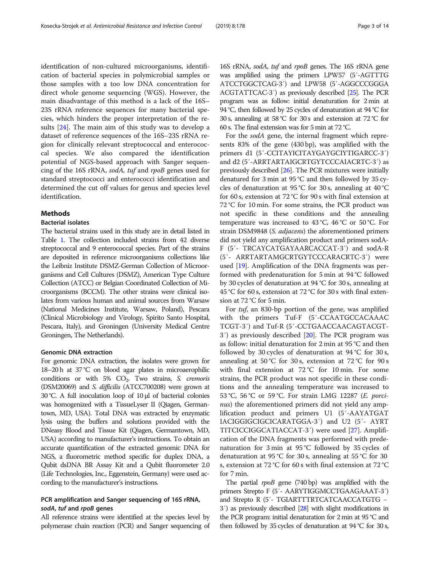identification of non-cultured microorganisms, identification of bacterial species in polymicrobial samples or those samples with a too low DNA concentration for direct whole genome sequencing (WGS). However, the main disadvantage of this method is a lack of the 16S– 23S rRNA reference sequences for many bacterial species, which hinders the proper interpretation of the results [\[24](#page-12-0)]. The main aim of this study was to develop a dataset of reference sequences of the 16S–23S rRNA region for clinically relevant streptococcal and enterococcal species. We also compared the identification potential of NGS-based approach with Sanger sequencing of the 16S rRNA, sodA, tuf and rpoB genes used for standard streptococci and enterococci identification and determined the cut off values for genus and species level identification.

## Methods

#### Bacterial isolates

The bacterial strains used in this study are in detail listed in Table [1](#page-3-0). The collection included strains from 42 diverse streptococcal and 9 enterococcal species. Part of the strains are deposited in reference microorganisms collections like the Leibniz Institute DSMZ-German Collection of Microorganisms and Cell Cultures (DSMZ), American Type Culture Collection (ATCC) or Belgian Coordinated Collection of Microorganisms (BCCM). The other strains were clinical isolates from various human and animal sources from Warsaw (National Medicines Institute, Warsaw, Poland), Pescara (Clinical Microbiology and Virology, Spirito Santo Hospital, Pescara, Italy), and Groningen (University Medical Centre Groningen, The Netherlands).

#### Genomic DNA extraction

For genomic DNA extraction, the isolates were grown for 18–20 h at 37 °C on blood agar plates in microaerophilic conditions or with 5%  $CO<sub>2</sub>$ . Two strains, S. cremoris (DSM20069) and S. difficilis (ATCC700208) were grown at 30 °C. A full inoculation loop of 10 μl of bacterial colonies was homogenized with a TissueLyser II (Qiagen, Germantown, MD, USA). Total DNA was extracted by enzymatic lysis using the buffers and solutions provided with the DNeasy Blood and Tissue Kit (Qiagen, Germantown, MD, USA) according to manufacturer's instructions. To obtain an accurate quantification of the extracted genomic DNA for NGS, a fluorometric method specific for duplex DNA, a Qubit dsDNA BR Assay Kit and a Qubit fluorometer 2.0 (Life Technologies, Inc., Eggenstein, Germany) were used according to the manufacturer's instructions.

# PCR amplification and Sanger sequencing of 16S rRNA, sodA, tuf and rpoB genes

All reference strains were identified at the species level by polymerase chain reaction (PCR) and Sanger sequencing of

16S rRNA, sodA, tuf and rpoB genes. The 16S rRNA gene was amplified using the primers LPW57 (5′-AGTTTG ATCCTGGCTCAG-3′) and LPW58 (5′-AGGCCCGGGA ACGTATTCAC-3′) as previously described [\[25](#page-12-0)]. The PCR program was as follow: initial denaturation for 2 min at 94 °C, then followed by 25 cycles of denaturation at 94 °C for 30 s, annealing at 58 °C for 30 s and extension at 72 °C for 60 s. The final extension was for 5 min at 72 °C.

For the sodA gene, the internal fragment which represents 83% of the gene (430 bp), was amplified with the primers d1 (5′-CCITAYICITAYGAYGCIYTIGARCC-3′) and d2 (5′-ARRTARTAIGCRTGYTCCCAIACRTC-3′) as previously described  $[26]$ . The PCR mixtures were initially denatured for 3 min at 95 °C and then followed by 35 cycles of denaturation at 95 °C for 30 s, annealing at  $40\degree$ C for 60 s, extension at 72 °C for 90 s with final extension at 72 °C for 10 min. For some strains, the PCR product was not specific in these conditions and the annealing temperature was increased to  $43^{\circ}$ C,  $46^{\circ}$ C or  $50^{\circ}$ C. For strain DSM9848 (S. adjacens) the aforementioned primers did not yield any amplification product and primers sodA-F (5′- TRCAYCATGAYAARCACCAT-3′) and sodA-R (5′- ARRTARTAMGCRTGYTCCCARACRTC-3′) were used [[19\]](#page-12-0). Amplification of the DNA fragments was performed with predenaturation for 5 min at 94 °C followed by 30 cycles of denaturation at 94 °C for 30 s, annealing at 45 °C for 60 s, extension at 72 °C for 30 s with final extension at 72 °C for 5 min.

For tuf, an 830-bp portion of the gene, was amplified with the primers Tuf-F (5′-CCAATGCCACAAAC TCGT-3′) and Tuf-R (5′-CCTGAACCAACAGTACGT-3′) as previously described [[20](#page-12-0)]. The PCR program was as follow: initial denaturation for 2 min at 95 °C and then followed by 30 cycles of denaturation at  $94^{\circ}$ C for 30 s, annealing at 50 °C for 30 s, extension at 72 °C for 90 s with final extension at 72 °C for 10 min. For some strains, the PCR product was not specific in these conditions and the annealing temperature was increased to 53 °C, 56 °C or 59 °C. For strain LMG 12287 (E. porcinus) the aforementioned primers did not yield any amplification product and primers U1 (5′-AAYATGAT IACIGGIGCIGCICARATGGA-3′) and U2 (5′- AYRT TITCICCIGGCATIACCAT-3′) were used [[27\]](#page-12-0). Amplification of the DNA fragments was performed with predenaturation for 3 min at 95 °C followed by 35 cycles of denaturation at 95 °C for 30 s, annealing at 55 °C for 30 s, extension at 72 °C for 60 s with final extension at 72 °C for 7 min.

The partial *rpoB* gene (740 bp) was amplified with the primers Strepto F (5′- AARYTIGGMCCTGAAGAAAT-3′) and Strepto R (5′- TGIARTTTRTCATCAACCATGTG − 3′) as previously described [[28\]](#page-12-0) with slight modifications in the PCR program: initial denaturation for 2 min at 95 °C and then followed by 35 cycles of denaturation at  $94^{\circ}$ C for 30 s,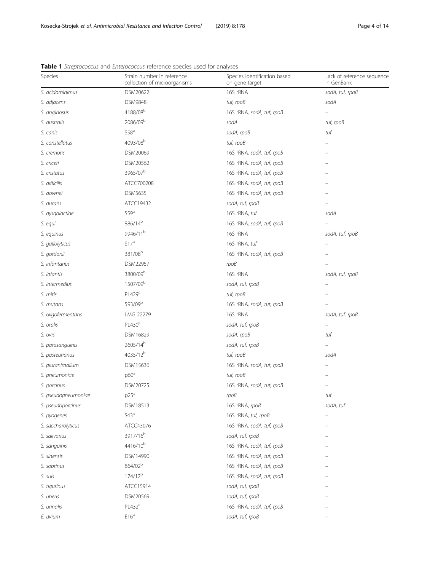<span id="page-3-0"></span>

| <b>Table 1</b> Streptococcus and Enterococcus reference species used for analyses |  |  |  |  |  |
|-----------------------------------------------------------------------------------|--|--|--|--|--|
|-----------------------------------------------------------------------------------|--|--|--|--|--|

| Species             | Strain number in reference<br>collection of microorganisms | Species identification based<br>on gene target | Lack of reference sequence<br>in GenBank |
|---------------------|------------------------------------------------------------|------------------------------------------------|------------------------------------------|
| S. acidominimus     | DSM20622                                                   | 16S rRNA                                       | sodA, tuf, rpoB                          |
| S. adjacens         | <b>DSM9848</b>                                             | tuf, rpoB                                      | sodA                                     |
| S. anginosus        | 4188/08b                                                   | 16S rRNA, sodA, tuf, rpoB                      |                                          |
| S. australis        | 2086/09b                                                   | sodA                                           | tuf, rpoB                                |
| S. canis            | $558^a$                                                    | sodA, rpoB                                     | tuf                                      |
| S. constellatus     | 4093/08b                                                   | tuf, rpoB                                      |                                          |
| S. cremoris         | DSM20069                                                   | 16S rRNA, sodA, tuf, rpoB                      |                                          |
| S. criceti          | DSM20562                                                   | 16S rRNA, sodA, tuf, rpoB                      |                                          |
| S. cristatus        | 3965/07 <sup>b</sup>                                       | 16S rRNA, sodA, tuf, rpoB                      |                                          |
| S. difficilis       | ATCC700208                                                 | 16S rRNA, sodA, tuf, rpoB                      |                                          |
| S. downei           | <b>DSM5635</b>                                             | 16S rRNA, sodA, tuf, rpoB                      |                                          |
| S. durans           | ATCC19432                                                  | sodA, tuf, rpoB                                |                                          |
| S. dysgalactiae     | 559 <sup>a</sup>                                           | 16S rRNA, tuf                                  | sodA                                     |
| S. equi             | 886/14 <sup>b</sup>                                        | 16S rRNA, sodA, tuf, rpoB                      |                                          |
| S. equinus          | 9946/11 <sup>b</sup>                                       | 16S rRNA                                       | sodA, tuf, rpoB                          |
| S. gallolyticus     | 517 <sup>a</sup>                                           | 16S rRNA, tuf                                  |                                          |
| S. gordonii         | 381/08 <sup>b</sup>                                        | 16S rRNA, sodA, tuf, rpoB                      |                                          |
| S. infantarius      | DSM22957                                                   | rpoB                                           |                                          |
| S. infantis         | 3800/09b                                                   | 16S rRNA                                       | sodA, tuf, rpoB                          |
| S. intermedius      | 1507/09b                                                   | sodA, tuf, rpoB                                |                                          |
| S. mitis            | PL429 <sup>c</sup>                                         | tuf, rpoB                                      |                                          |
| S. mutans           | 593/09 <sup>b</sup>                                        | 16S rRNA, sodA, tuf, rpoB                      |                                          |
| S. oligofermentans  | LMG 22279                                                  | 16S rRNA                                       | sodA, tuf, rpoB                          |
| S. oralis           | PL430 <sup>c</sup>                                         | sodA, tuf, rpoB                                |                                          |
| S. ovis             | DSM16829                                                   | sodA, rpoB                                     | tuf                                      |
| S. parasanguinis    | 2605/14 <sup>b</sup>                                       | sodA, tuf, rpoB                                |                                          |
| S. pasteurianus     | 4035/12 <sup>b</sup>                                       | tuf, rpoB                                      | sodA                                     |
| S. pluranimalium    | DSM15636                                                   | 16S rRNA, sodA, tuf, rpoB                      |                                          |
| S. pneumoniae       | $p60^a$                                                    | tuf, rpoB                                      |                                          |
| S. porcinus         | DSM20725                                                   | 16S rRNA, sodA, tuf, rpoB                      |                                          |
| S. pseudopneumoniae | $p25^a$                                                    | rpoB                                           | tuf                                      |
| S. pseudoporcinus   | DSM18513                                                   | 16S rRNA, rpoB                                 | sodA, tuf                                |
| S. pyogenes         | 543 <sup>a</sup>                                           | 16S rRNA, tuf, rpoB                            |                                          |
| S. saccharolyticus  | ATCC43076                                                  | 16S rRNA, sodA, tuf, rpoB                      |                                          |
| S. salivarius       | 3917/16 <sup>b</sup>                                       | sodA, tuf, rpoB                                |                                          |
| S. sanguinis        | 4416/10 <sup>b</sup>                                       | 16S rRNA, sodA, tuf, rpoB                      |                                          |
| S. sinensis         | DSM14990                                                   | 16S rRNA, sodA, tuf, rpoB                      |                                          |
| S. sobrinus         | 864/02 <sup>b</sup>                                        | 16S rRNA, sodA, tuf, rpoB                      |                                          |
| S. suis             | $174/12^{b}$                                               | 16S rRNA, sodA, tuf, rpoB                      |                                          |
| S. tigurinus        | ATCC15914                                                  | sodA, tuf, rpoB                                |                                          |
| S. uberis           | DSM20569                                                   | sodA, tuf, rpoB                                |                                          |
| S. urinalis         | PL432 <sup>c</sup>                                         | 16S rRNA, sodA, tuf, rpoB                      |                                          |
| E. avium            | $E16^a$                                                    | sodA, tuf, rpoB                                |                                          |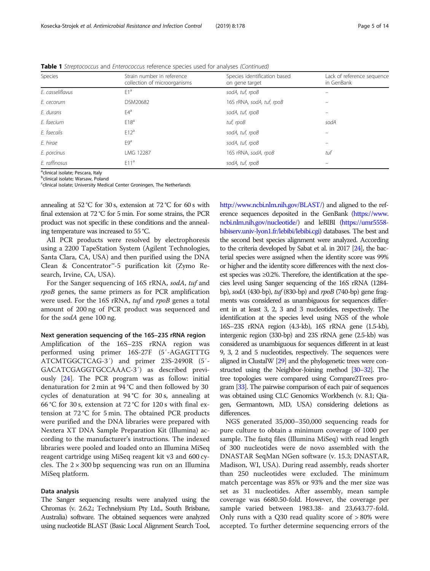| <b>Table 1</b> Streptococcus and Enterococcus reference species used for analyses (Continued) |  |
|-----------------------------------------------------------------------------------------------|--|
|-----------------------------------------------------------------------------------------------|--|

| Species          | Strain number in reference<br>collection of microorganisms | Species identification based<br>on gene target | Lack of reference sequence<br>in GenBank |
|------------------|------------------------------------------------------------|------------------------------------------------|------------------------------------------|
| E. casseliflavus | E1 <sup>a</sup>                                            | sodA, tuf, rpoB                                | -                                        |
| E. cecorum       | DSM20682                                                   | 16S rRNA, sodA, tuf, rpoB                      |                                          |
| E. durans        | $E4^a$                                                     | sodA, tuf, rpoB                                |                                          |
| E. faecium       | E18 <sup>a</sup>                                           | tuf, rpoB                                      | sodA                                     |
| E. faecalis      | E12 <sup>a</sup>                                           | sodA, tuf, rpoB                                |                                          |
| E. hirae         | E9 <sup>a</sup>                                            | sodA, tuf, rpoB                                |                                          |
| E. porcinus      | LMG 12287                                                  | 16S rRNA, sodA, rpoB                           | tuf                                      |
| E. raffinosus    | E11 <sup>a</sup>                                           | sodA, tuf, rpoB                                |                                          |

<sup>a</sup>clinical isolate; Pescara, Italy

<sup>b</sup>clinical isolate; Warsaw, Poland <sup>c</sup>clinical isolate; University Medical Center Groningen, The Netherlands

annealing at 52 °C for 30 s, extension at 72 °C for 60 s with final extension at 72 °C for 5 min. For some strains, the PCR product was not specific in these conditions and the annealing temperature was increased to 55 °C.

All PCR products were resolved by electrophoresis using a 2200 TapeStation System (Agilent Technologies, Santa Clara, CA, USA) and then purified using the DNA Clean & Concentrator™-5 purification kit (Zymo Research, Irvine, CA, USA).

For the Sanger sequencing of 16S rRNA, sodA, tuf and rpoB genes, the same primers as for PCR amplification were used. For the 16S rRNA, tuf and rpoB genes a total amount of 200 ng of PCR product was sequenced and for the sodA gene 100 ng.

#### Next generation sequencing of the 16S–23S rRNA region

Amplification of the 16S–23S rRNA region was performed using primer 16S-27F (5′-AGAGTTTG ATCMTGGCTCAG-3′) and primer 23S-2490R (5′- GACATCGAGGTGCCAAAC-3′) as described previously [\[24](#page-12-0)]. The PCR program was as follow: initial denaturation for 2 min at 94 °C and then followed by 30 cycles of denaturation at 94 °C for 30 s, annealing at 66 °C for 30 s, extension at 72 °C for 120 s with final extension at 72 °C for 5 min. The obtained PCR products were purified and the DNA libraries were prepared with Nextera XT DNA Sample Preparation Kit (Illumina) according to the manufacturer's instructions. The indexed libraries were pooled and loaded onto an Illumina MiSeq reagent cartridge using MiSeq reagent kit v3 and 600 cycles. The  $2 \times 300$  bp sequencing was run on an Illumina MiSeq platform.

## Data analysis

The Sanger sequencing results were analyzed using the Chromas (v. 2.6.2.; Technelysium Pty Ltd., South Brisbane, Australia) software. The obtained sequences were analyzed using nucleotide BLAST (Basic Local Alignment Search Tool, <http://www.ncbi.nlm.nih.gov/BLAST/>) and aligned to the reference sequences deposited in the GenBank [\(https://www.](https://www.ncbi.nlm.nih.gov/nucleotide/) [ncbi.nlm.nih.gov/nucleotide/](https://www.ncbi.nlm.nih.gov/nucleotide/)) and leBIBI [\(https://umr5558](https://umr5558-bibiserv.univ-lyon1.fr/lebibi/lebibi.cgi) [bibiserv.univ-lyon1.fr/lebibi/lebibi.cgi\)](https://umr5558-bibiserv.univ-lyon1.fr/lebibi/lebibi.cgi) databases. The best and the second best species alignment were analyzed. According to the criteria developed by Sabat et al. in 2017 [[24\]](#page-12-0), the bacterial species were assigned when the identity score was 99% or higher and the identity score differences with the next closest species was ≥0.2%. Therefore, the identification at the species level using Sanger sequencing of the 16S rRNA (1284 bp), sodA (430-bp), tuf (830-bp) and rpoB (740-bp) gene fragments was considered as unambiguous for sequences different in at least 3, 2, 3 and 3 nucleotides, respectively. The identification at the species level using NGS of the whole 16S–23S rRNA region (4.3-kb), 16S rRNA gene (1.5-kb), intergenic region (330-bp) and 23S rRNA gene (2.5-kb) was considered as unambiguous for sequences different in at least 9, 3, 2 and 5 nucleotides, respectively. The sequences were aligned in ClustalW [\[29](#page-12-0)] and the phylogenetic trees were constructed using the Neighbor-Joining method [[30](#page-12-0)–[32](#page-12-0)]. The tree topologies were compared using Compare2Trees program [[33\]](#page-12-0). The pairwise comparison of each pair of sequences was obtained using CLC Genomics Workbench (v. 8.1; Qiagen, Germantown, MD, USA) considering deletions as differences

NGS generated 35,000–350,000 sequencing reads for pure culture to obtain a minimum coverage of 1000 per sample. The fastq files (Illumina MiSeq) with read length of 300 nucleotides were de novo assembled with the DNASTAR SeqMan NGen software (v. 15.3; DNASTAR, Madison, WI, USA). During read assembly, reads shorter than 250 nucleotides were excluded. The minimum match percentage was 85% or 93% and the mer size was set as 31 nucleotides. After assembly, mean sample coverage was 6680.50-fold. However, the coverage per sample varied between 1983.38- and 23,643.77-fold. Only runs with a Q30 read quality score of > 80% were accepted. To further determine sequencing errors of the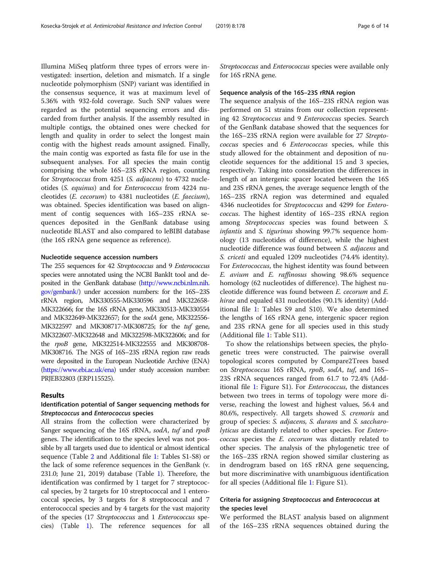Illumina MiSeq platform three types of errors were investigated: insertion, deletion and mismatch. If a single nucleotide polymorphism (SNP) variant was identified in the consensus sequence, it was at maximum level of 5.36% with 932-fold coverage. Such SNP values were regarded as the potential sequencing errors and discarded from further analysis. If the assembly resulted in multiple contigs, the obtained ones were checked for length and quality in order to select the longest main contig with the highest reads amount assigned. Finally, the main contig was exported as fasta file for use in the subsequent analyses. For all species the main contig comprising the whole 16S–23S rRNA region, counting for Streptococcus from 4251 (S. adjacens) to 4732 nucleotides (S. equinus) and for Enterococcus from 4224 nucleotides (E. cecorum) to 4381 nucleotides (E. faecium), was obtained. Species identification was based on alignment of contig sequences with 16S–23S rRNA sequences deposited in the GenBank database using nucleotide BLAST and also compared to leBIBI database (the 16S rRNA gene sequence as reference).

## Nucleotide sequence accession numbers

The 255 sequences for 42 Streptococcus and 9 Enterococcus species were annotated using the NCBI BankIt tool and deposited in the GenBank database [\(http://www.ncbi.nlm.nih.](http://www.ncbi.nlm.nih.gov/genbank/) [gov/genbank/\)](http://www.ncbi.nlm.nih.gov/genbank/) under accession numbers: for the 16S–23S rRNA region, MK330555-MK330596 and MK322658- MK322666; for the 16S rRNA gene, MK330513-MK330554 and MK322649-MK322657; for the sodA gene, MK322556- MK322597 and MK308717-MK308725; for the tuf gene, MK322607-MK322648 and MK322598-MK322606; and for the rpoB gene, MK322514-MK322555 and MK308708- MK308716. The NGS of 16S–23S rRNA region raw reads were deposited in the European Nucleotide Archive (ENA) ([https://www.ebi.ac.uk/ena\)](https://www.ebi.ac.uk/ena) under study accession number: PRJEB32803 (ERP115525).

## Results

# Identification potential of Sanger sequencing methods for Streptococcus and Enterococcus species

All strains from the collection were characterized by Sanger sequencing of the 16S rRNA, sodA, tuf and rpoB genes. The identification to the species level was not possible by all targets used due to identical or almost identical sequence (Table [2](#page-6-0) and Additional file [1:](#page-11-0) Tables S1-S8) or the lack of some reference sequences in the GenBank (v. 231.0; June 21, 2019) database (Table [1](#page-3-0)). Therefore, the identification was confirmed by 1 target for 7 streptococcal species, by 2 targets for 10 streptococcal and 1 enterococcal species, by 3 targets for 8 streptococcal and 7 enterococcal species and by 4 targets for the vast majority of the species (17 Streptococcus and 1 Enterococcus species) (Table [1](#page-3-0)). The reference sequences for all Streptococcus and Enterococcus species were available only for 16S rRNA gene.

#### Sequence analysis of the 16S–23S rRNA region

The sequence analysis of the 16S–23S rRNA region was performed on 51 strains from our collection representing 42 Streptococcus and 9 Enterococcus species. Search of the GenBank database showed that the sequences for the 16S-23S rRNA region were available for 27 Streptococcus species and 6 Enterococcus species, while this study allowed for the obtainment and deposition of nucleotide sequences for the additional 15 and 3 species, respectively. Taking into consideration the differences in length of an intergenic spacer located between the 16S and 23S rRNA genes, the average sequence length of the 16S–23S rRNA region was determined and equaled 4346 nucleotides for Streptococcus and 4299 for Enterococcus. The highest identity of 16S–23S rRNA region among Streptococcus species was found between S. infantis and S. tigurinus showing 99.7% sequence homology (13 nucleotides of difference), while the highest nucleotide difference was found between S. adjacens and S. criceti and equaled 1209 nucleotides (74.4% identity). For *Enterococcus*, the highest identity was found between E. avium and E. raffinosus showing 98.6% sequence homology (62 nucleotides of difference). The highest nucleotide difference was found between E. cecorum and E. hirae and equaled 431 nucleotides (90.1% identity) (Additional file [1:](#page-11-0) Tables S9 and S10). We also determined the lengths of 16S rRNA gene, intergenic spacer region and 23S rRNA gene for all species used in this study (Additional file [1](#page-11-0): Table S11).

To show the relationships between species, the phylogenetic trees were constructed. The pairwise overall topological scores computed by Compare2Trees based on Streptococcus 16S rRNA, rpoB, sodA, tuf, and 16S– 23S rRNA sequences ranged from 61.7 to 72.4% (Additional file [1](#page-11-0): Figure S1). For Enterococcus, the distances between two trees in terms of topology were more diverse, reaching the lowest and highest values, 56.4 and 80.6%, respectively. All targets showed S. cremoris and group of species: S. adjacens, S. durans and S. saccharolyticus are distantly related to other species. For Enterococcus species the E. cecorum was distantly related to other species. The analysis of the phylogenetic tree of the 16S–23S rRNA region showed similar clustering as in dendrogram based on 16S rRNA gene sequencing, but more discriminative with unambiguous identification for all species (Additional file [1:](#page-11-0) Figure S1).

# Criteria for assigning Streptococcus and Enterococcus at the species level

We performed the BLAST analysis based on alignment of the 16S–23S rRNA sequences obtained during the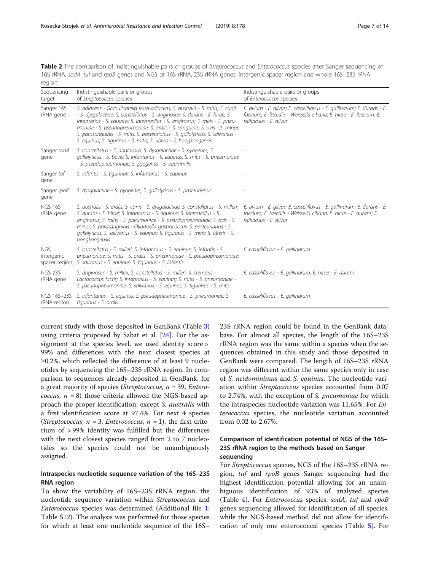<span id="page-6-0"></span>Table 2 The comparison of indistinguishable pairs or groups of Streptococcus and Enterococcus species after Sanger sequencing of 16S rRNA, sodA, tuf and rpoB genes and NGS of 16S rRNA, 23S rRNA genes, intergenic spacer region and whole 16S–23S rRNA region

| Sequencing<br>target                      | Indistinguishable pairs or groups<br>of Streptococcus species                                                                                                                                                                                                                                                                                                                                                                                                                       | Indistinguishable pairs or groups<br>of Enterococcus species                                                                                                            |
|-------------------------------------------|-------------------------------------------------------------------------------------------------------------------------------------------------------------------------------------------------------------------------------------------------------------------------------------------------------------------------------------------------------------------------------------------------------------------------------------------------------------------------------------|-------------------------------------------------------------------------------------------------------------------------------------------------------------------------|
| Sanger 16S<br>rRNA gene                   | S. adjacens - Granulicatella para-adiacens; S. australis - S. mitis; S. canis<br>- S. dysgalactiae; S. constellatus - S. anginosus; S. durans - E. hirae; S.<br>infantarius - S. equinus; S. intermedius - S. anginosus; S. mitis - S. pneu-<br>moniae - S. pseudopneumoniae; S. oralis - S. sanguinis; S. ovis - S. minor;<br>S. parasanguinis - S. mitis; S. pasteurianus - S. gallolyticus; S. salivarius -<br>S. equinus; S. tigurinus - S. mitis; S. uberis - S. hongkongensis | E. avium - E. gilvus; E. casseliflavus - E. gallinarum; E. durans - E.<br>faecium; E. faecalis - Weissella cibaria; E. hirae - E. faecium; E.<br>raffinosus - E. gilvus |
| Sanger sodA<br>gene                       | S. constellatus - S. anginosus; S. dysgalactiae - S. pyogenes; S.<br>gallolyticus - S. bovis; S. infantarius - S. equinus; S. mitis - S. pneumoniae<br>- S. pseudopneumoniae; S. pyogenes - S. equisimilis                                                                                                                                                                                                                                                                          |                                                                                                                                                                         |
| Sanger tuf<br>gene                        | S. infantis - S. tigurinus; S. infantarius - S. equinus                                                                                                                                                                                                                                                                                                                                                                                                                             |                                                                                                                                                                         |
| Sanger rpoB<br>gene                       | S. dysgalactiae - S. pyogenes; S. gallolyticus - S. pasteurianus                                                                                                                                                                                                                                                                                                                                                                                                                    |                                                                                                                                                                         |
| <b>NGS 16S</b><br>rRNA gene               | S. australis - S. oralis; S. canis - S. dysgalactiae; S. constellatus - S. milleri;<br>S. durans - E. hirae; S. infantarius - S. equinus; S. intermedius - S.<br>anginosus; S. mitis - S. pneumoniae - S. pseudopneumoniae; S. ovis - S.<br>minor; S. parasanguinis - Okadaella gastrococcus; S. pasteurianus - S.<br>gallolyticus; S. salivarius - S. equinus; S. tiqurinus - S. mitis; S. uberis - S.<br>hongkongensis                                                            | E. avium - E. gilvus; E. casseliflavus - E. gallinarum; E. durans - E.<br>faecium; E. faecalis - Weissella cibaria; E. hirae - E. durans; E.<br>raffinosus - E. gilvus  |
| <b>NGS</b><br>intergenic<br>spacer region | S. constellatus - S. milleri; S. infantarius - S. equinus; S. infantis - S.<br>pneumoniae; S. mitis - S. oralis - S. pneumoniae - S. pseudopneumoniae;<br>S. salivarius - S. equinus; S. tigurinus - S. infantis                                                                                                                                                                                                                                                                    | E. casseliflavus - E. gallinarum                                                                                                                                        |
| <b>NGS 23S</b><br>rRNA gene               | S. anginosus - S. milleri; S. constellatus - S. milleri; S. cremoris -<br>Lactococcus lactis; S. infantarius - S. equinus; S. mitis - S. pneumoniae -<br>S. pseudopneumoniae; S. salivarius - S. equinus; S. tigurinus - S. mitis                                                                                                                                                                                                                                                   | E. casseliflavus - E. gallinarum; E. hirae - E. durans                                                                                                                  |
| NGS 16S-23S<br>rRNA region                | S. infantarius - S. equinus; S. pseudopneumoniae - S. pneumoniae; S.<br>tigurinus - S. oralis                                                                                                                                                                                                                                                                                                                                                                                       | E. casseliflavus - E. gallinarum                                                                                                                                        |

current study with those deposited in GanBank (Table [3](#page-7-0)) using criteria proposed by Sabat et al. [[24\]](#page-12-0). For the assignment at the species level, we used identity score > 99% and differences with the next closest species at ≥0.2%, which reflected the difference of at least 9 nucleotides by sequencing the 16S–23S rRNA region. In comparison to sequences already deposited in GenBank, for a great majority of species (Streptococcus,  $n = 39$ , Entero*coccus,*  $n = 8$ ) those criteria allowed the NGS-based approach the proper identification, except S. australis with a first identification score at 97.4%. For next 4 species (Streptococcus,  $n = 3$ , Enterococcus,  $n = 1$ ), the first criterium of > 99% identity was fulfilled but the differences with the next closest species ranged from 2 to 7 nucleotides so the species could not be unambiguously assigned.

# Intraspecies nucleotide sequence variation of the 16S–23S RNA region

To show the variability of 16S–23S rRNA region, the nucleotide sequence variation within Streptococcus and Enterococcus species was determined (Additional file [1](#page-11-0): Table S12). The analysis was performed for those species for which at least one nucleotide sequence of the 16S– 23S rRNA region could be found in the GenBank database. For almost all species, the length of the 16S–23S rRNA region was the same within a species when the sequences obtained in this study and those deposited in GenBank were compared. The length of 16S–23S rRNA region was different within the same species only in case of S. acidominimus and S. equinus. The nucleotide variation within Streptococcus species accounted from 0.07 to 2.74%, with the exception of S. pneumoniae for which the intraspecies nucleotide variation was 11.65%. For Enterococcus species, the nucleotide variation accounted from 0.02 to 2.67%.

# Comparison of identification potential of NGS of the 16S– 23S rRNA region to the methods based on Sanger sequencing

For Streptococcus species, NGS of the 16S–23S rRNA region, tuf and rpoB genes Sanger sequencing had the highest identification potential allowing for an unambiguous identification of 93% of analyzed species (Table [4\)](#page-9-0). For Enterococcus species, sodA, tuf and rpoB genes sequencing allowed for identification of all species, while the NGS-based method did not allow for identification of only one enterococcal species (Table [5\)](#page-9-0). For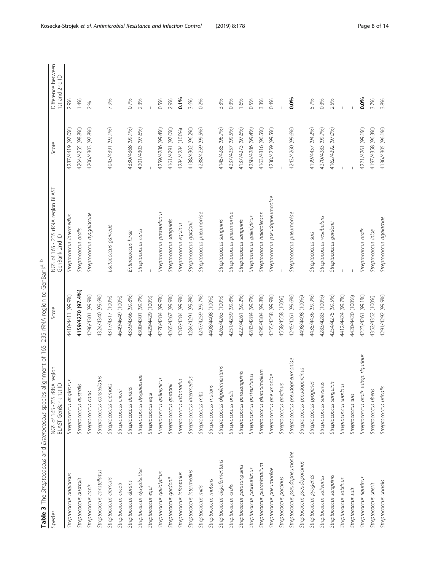| ì                           |
|-----------------------------|
|                             |
| i                           |
| $\overline{ }$<br>Ì         |
|                             |
| ž<br>ׅ֚֡֡֡֡֡֡֡֡֝<br>Ï       |
|                             |
| ļ                           |
| ١<br>ł                      |
| i<br>٢<br>$\mathbf{r}$<br>j |
| l                           |
|                             |
| $\mathfrak{c}$              |
|                             |
| りー                          |
| l                           |
| ļ<br>י<br>י<br>)            |
| J                           |
| $\overline{\phantom{a}}$    |
| $\frac{1}{2}$               |
| s<br>c                      |
| ţ                           |
| ļ                           |
| į<br>ת                      |
| うりこりり                       |
| j                           |
| I<br>i                      |
| j<br>¢                      |
| ì<br>I                      |
| ١<br>ز                      |
| į<br>ز<br>ł<br>l            |
| Ì<br>İ                      |
| i                           |
|                             |
| I<br>J                      |
| ł                           |
|                             |
| $\ddot{\phantom{a}}$<br>١   |
| ļ<br>j<br>Ì                 |
|                             |
|                             |
| j                           |
|                             |
|                             |
| d                           |
| ŀ                           |
| ١<br>١<br>ì                 |
| $\vdots$<br>$\frac{a}{c}$   |
| ì<br>ī                      |
|                             |

<span id="page-7-0"></span>

|                                | Table 3 The Streptococcus and Enterococcus species alignment of 16S-23S rRNA region to GenBank <sup>a, b</sup> |                   |                                                      |                   |                                      |
|--------------------------------|----------------------------------------------------------------------------------------------------------------|-------------------|------------------------------------------------------|-------------------|--------------------------------------|
| Species                        | NGS of 16S -23S rRNA region<br>BLAST GenBank 1st ID                                                            | score             | NGS of 16S - 23S rRNA region BLAST<br>GenBank 2nd ID | Score             | Difference between<br>1st and 2nd ID |
| Streptococcus anginosus        | Streptococcus anginosus                                                                                        | 4410/4411 (99.9%) | Streptococcus intermedius                            | 4287/4419 (97.0%) | 2.9%                                 |
| Streptococcus australis        | Streptococcus australis                                                                                        | 4159/4270 (97.4%) | Streptococcus oralis                                 | 4204/4255 (98.8%) | 1.4%                                 |
| Streptococcus canis            | Streptococcus canis                                                                                            | 4296/4301 (99.9%) | Streptococcus dysgalactiae                           | 4206/4303 (97.8%) | 2.%                                  |
| Streptococcus constellatus     | Streptococcus constellatus                                                                                     | 4324/4340 (99.6%) |                                                      |                   |                                      |
| Streptococcus cremoris         | Streptococcus cremoris                                                                                         | 4317/4317 (100%)  | Lactococcus garvieae                                 | 4043/4391 (92.1%) | 7.9%                                 |
| Streptococcus criceti          | Streptococcus criceti                                                                                          | 4649/4649 (100%)  |                                                      |                   |                                      |
| Streptococcus durans           | Streptococcus durans                                                                                           | 4359/4366 (99.8%) | Enterococcus hirae                                   | 4330/4368 (99.1%) | 0.7%                                 |
| Streptococcus dysgalactiae     | Streptococcus dysgalactiae                                                                                     | 4300/4301 (99.9%) | Streptococcus canis                                  | 4201/4303 (97.6%) | 2.3%                                 |
| Streptococcus equi             | Streptococcus equi                                                                                             | 4429/4429 (100%)  |                                                      |                   |                                      |
| Streptococcus gallolyticus     | Streptococcus gallolyticus                                                                                     | 4278/4284 (99.9%) | Streptococcus pasteurianus                           | 4259/4286 (99.4%) | 0.5%                                 |
| Streptococcus gordonii         | Streptococcus gordonii                                                                                         | 4265/4267 (99.9%) | Streptococcus sanguinis                              | 4161/4291 (97.0%) | 2.9%                                 |
| Streptococcus infantarius      | Streptococcus infantarius                                                                                      | 4282/4284 (99.9%) | Streptococcus equinus                                | 4284/4284 (100%)  | 0.1%                                 |
| Streptococcus intermedius      | Streptococcus intermedius                                                                                      | 4284/4291 (99.8%) | Streptococcus gordonii                               | 4138/4302 (96.2%) | 3.6%                                 |
| Streptococcus mitis            | Streptococcus mitis                                                                                            | 4247/4259 (99.7%) | Streptococcus pneumoniae                             | 4238/4259 (99.5%) | 0.2%                                 |
| Streptococcus mutans           | Streptococcus mutans                                                                                           | 4408/4408 (100%)  |                                                      |                   |                                      |
| Streptococcus oligofermentans  | Streptococcus oligofermentans                                                                                  | 4263/4263 (100%)  | Streptococcus sanguinis                              | 4145/4285 (96.7%) | 3.3%                                 |
| Streptococcus oralis           | Streptococcus oralis                                                                                           | 4251/4259 (99.8%) | Streptococcus pneumoniae                             | 4237/4257 (99.5%) | 0.3%                                 |
| Streptococcus parasanguinis    | Streptococcus parasanguinis                                                                                    | 4227/4261 (99.2%) | Streptococcus sanguinis                              | 4137/4273 (97.6%) | 1.6%                                 |
| Streptococcus pasteurianus     | Streptococcus pasteurianus                                                                                     | 4283/4284 (99.9%) | Streptococcus gallolyticus                           | 4258/4286 (99.4%) | 0.5%                                 |
| Streptococcus pluranimalium    | Streptococcus pluranimalium                                                                                    | 4295/4304 (99.8%) | Streptococcus halotolerans                           | 4163/4316 (96.5%) | 3.3%                                 |
| Streptococcus pneumoniae       | Streptococcus pneumoniae                                                                                       | 4255/4258 (99.9%) | Streptococcus pseudopneumoniae                       | 4238/4259 (99.5%) | 0.4%                                 |
| Streptococcus porcinus         | Streptococcus porcinus                                                                                         | 4558/4558 (100%)  |                                                      |                   |                                      |
| Streptococcus pseudopneumoniae | Streptococcus pseudopneumoniae                                                                                 | 4245/4261 (99.6%) | Streptococcus pneumoniae                             | 4243/4260 (99.6%) | 0.0%                                 |
| Streptococcus pseudoporcinus   | Streptococcus pseudoporcinus                                                                                   | 4498/4498 (100%)  |                                                      |                   |                                      |
| Streptococcus pyogenes         | Streptococcus pyogenes                                                                                         | 4435/4436 (99.9%) | Streptococcus suis                                   | 4199/4457 (94.2%) | 5.7%                                 |
| Streptococcus salivarius       | Streptococcus salivarius                                                                                       | 4283/4283 (100%)  | Streptococcus vestibularis                           | 4270/4283 (99.7%) | 0.3%                                 |
| Streptococcus sanguinis        | Streptococcus sanguinis                                                                                        | 4254/4275 (99.5%) | Streptococcus gordonii                               | 4162/4292 (97.0%) | 2.5%                                 |
| Streptococcus sobrinus         | Streptococcus sobrinus                                                                                         | 4412/4424 (99.7%) |                                                      |                   |                                      |
| Streptococcus suis             | Streptococcus suis                                                                                             | 4420/4420 (100%)  |                                                      |                   |                                      |
| Streptococcus tigurinus        | Streptococcus oralis subsp. tigurinus                                                                          | 4223/4261 (99.1%) | Streptococcus oralis                                 | 4221/4261 (99.1%) | 0.0%                                 |
| Streptococcus uberis           | Streptococcus uberis                                                                                           | 4352/4352 (100%)  | Streptococcus iniae                                  | 4197/4358 (96.3%) | 3.7%                                 |
| Streptococcus urinalis         | Streptococcus urinalis                                                                                         | 4291/4292 (99.9%) | Streptococcus agalactiae                             | 4136/4305 (96.1%) | 3.8%                                 |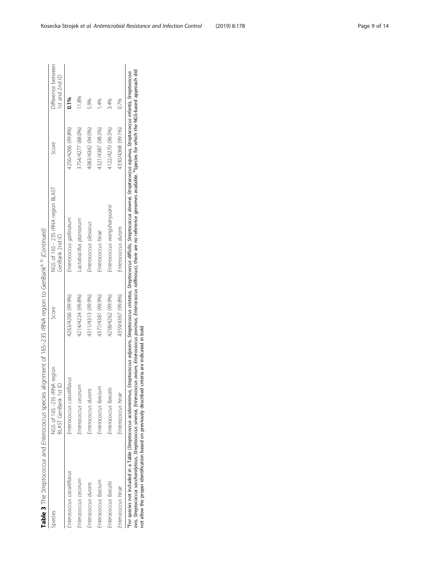| <b>Table 3</b> The Streptococcus and Ent | pecies                          | Nignment of 16S-23S rRNA region to GenBank <sup>a, b</sup> (Continued) |                                    |                  |                    |
|------------------------------------------|---------------------------------|------------------------------------------------------------------------|------------------------------------|------------------|--------------------|
|                                          | A region<br>NGS of 16S -23S rRN | Score                                                                  | NGS of 16S - 23S rRNA region BLAST | score            | Difference between |
|                                          |                                 |                                                                        | ienBank 2nd ID                     |                  | st and 2nd ID      |
|                                          | avus                            | 1263/4266 (99.9%)                                                      | rterococcus gallinarun.            | 256/4266 (99.8%) | 0.1%               |

Enterococcus casseliflavus Enterococcus casseliflavus 4263/4266 (99.9%) Enterococcus gallinarum 4256/4266 (99.8%) 0.1% Enterococcus cecorum Enterococcus cecorum 4214/4224 (99.8%) Lactobacillus plantarum 3754/4277 (88.0%) 11.8% Enterococcus durans Enterococcus durans 4311/4313 (99.9%) Enterococcus silesiacus 4083/4342 (94.0%) 5.9% Enterococcus faecium Enterococcus faecium 4377/4381 (99.9%) Enterococcus hirae 4321/4387 (98.5%) 1.4%

4263/4266 (99.9%) 4214/4224 (99.8%) 4311/4313 (99.9%) 4377/4381 (99.9%)

Enterococcus casseliflavus Enterococcus cecorum

Enterococcus cecorum

Enterococcus faecium Enterococcus durans

Enterococcus faecium Enterococcus durans

Enterococcus gallinarum Lactobacillus plantarum Enterococcus silesiacus Enterococcus hirae

11.8%  $0.1%$ 

4256/4266 (99.8%) 3754/4277 (88.0%) 4083/4342 (94.0%)

5.9% 1.4%

4321/4387 (98.5%)

|                                                                  |                                                                                                                                  | 4258/4262 (99.9%) | nterococcus wangshanyuanii                                                                                                                                                                                                                                                                                                           | 4122/4270 (96.5%) | 3.4% |
|------------------------------------------------------------------|----------------------------------------------------------------------------------------------------------------------------------|-------------------|--------------------------------------------------------------------------------------------------------------------------------------------------------------------------------------------------------------------------------------------------------------------------------------------------------------------------------------|-------------------|------|
| ۱                                                                |                                                                                                                                  | 4359/4367 (99.8%) | nterococcus durans                                                                                                                                                                                                                                                                                                                   | 1330/4368 (99.1%) | 0.7% |
| - species not included in a Tan-<br>haroh.<br>יי בעש<br>rontorn' | ֦֧֦֧֦֧֦֧֦֧֦֧֦֧ׅ֦֧֦֧֦֧֦֧֦֧֦֧֦֧֦֧֚֚֚֬֕֜֓֬֓֞֬֓֞֓֞֬֓֞֓֞֓֬֓֓֞֓֬֓֞֡֓֬֓֞֓֬֞֓֬֓֞֓֬֬֓֞֬֝֓֞֬֝֬<br>in inne<br>trantococcus sinansis +<br>しこ |                   | occus gvium. Enterococcus porcinus. Enterococcus raffinosus), there are no reference genomes available. <sup>P</sup> Species for which the NGS-based approach did<br>s, Streptococcus adjacens, Streptococcus cristatus, Streptocccus difficilis, Streptococcus downei, Streptococcus equinus, Streptococcus infantis, Streptococcus |                   |      |

ovis, Streptococcus saccharolyticus, Streptococcus sinensis, Enterococcus avium, Enterococcus porcinus, Enterococcus raffinosus), there are no reference genomes available. <sup>b</sup>Species for which the NGS-based approach did 요 Ĺ ყ<br>თ  $\frac{1}{2}$  $\ddot{\phantom{0}}$ ons, surprocesses socialism of the properties in providing the properties are indicated in bold<br>not allow the proper identification based on previously described criteria are indicated in bold not allow the proper identification based on previously described criteria are indicated in bold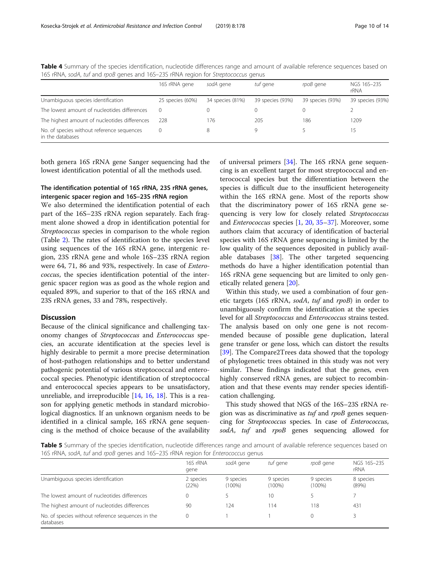|                                                                | 16S rRNA gene    | sodA gene        | tuf gene         | rpoB gene        | NGS 16S-23S<br>rRNA |
|----------------------------------------------------------------|------------------|------------------|------------------|------------------|---------------------|
| Unambiguous species identification                             | 25 species (60%) | 34 species (81%) | 39 species (93%) | 39 species (93%) | 39 species (93%)    |
| The lowest amount of nucleotides differences                   |                  |                  |                  |                  |                     |
| The highest amount of nucleotides differences                  | 228              | 176              | 205              | 186              | 1209                |
| No. of species without reference sequences<br>in the databases |                  | 8                | 9                |                  |                     |

<span id="page-9-0"></span>Table 4 Summary of the species identification, nucleotide differences range and amount of available reference sequences based on 16S rRNA, sodA, tuf and rpoB genes and 16S–23S rRNA region for Streptococcus genus

both genera 16S rRNA gene Sanger sequencing had the lowest identification potential of all the methods used.

# The identification potential of 16S rRNA, 23S rRNA genes, intergenic spacer region and 16S–23S rRNA region

We also determined the identification potential of each part of the 16S–23S rRNA region separately. Each fragment alone showed a drop in identification potential for Streptococcus species in comparison to the whole region (Table [2](#page-6-0)). The rates of identification to the species level using sequences of the 16S rRNA gene, intergenic region, 23S rRNA gene and whole 16S–23S rRNA region were 64, 71, 86 and 93%, respectively. In case of Enterococcus, the species identification potential of the intergenic spacer region was as good as the whole region and equaled 89%, and superior to that of the 16S rRNA and 23S rRNA genes, 33 and 78%, respectively.

#### **Discussion**

Because of the clinical significance and challenging taxonomy changes of Streptococcus and Enterococcus species, an accurate identification at the species level is highly desirable to permit a more precise determination of host-pathogen relationships and to better understand pathogenic potential of various streptococcal and enterococcal species. Phenotypic identification of streptococcal and enterococcal species appears to be unsatisfactory, unreliable, and irreproducible [[14,](#page-12-0) [16,](#page-12-0) [18](#page-12-0)]. This is a reason for applying genetic methods in standard microbiological diagnostics. If an unknown organism needs to be identified in a clinical sample, 16S rRNA gene sequencing is the method of choice because of the availability

of universal primers [\[34](#page-12-0)]. The 16S rRNA gene sequencing is an excellent target for most streptococcal and enterococcal species but the differentiation between the species is difficult due to the insufficient heterogeneity within the 16S rRNA gene. Most of the reports show that the discriminatory power of 16S rRNA gene sequencing is very low for closely related Streptococcus and Enterococcus species [[1,](#page-12-0) [20,](#page-12-0) [35](#page-12-0)–[37](#page-12-0)]. Moreover, some authors claim that accuracy of identification of bacterial species with 16S rRNA gene sequencing is limited by the low quality of the sequences deposited in publicly available databases [[38](#page-12-0)]. The other targeted sequencing methods do have a higher identification potential than 16S rRNA gene sequencing but are limited to only genetically related genera [[20\]](#page-12-0).

Within this study, we used a combination of four genetic targets (16S rRNA, sodA, tuf and rpoB) in order to unambiguously confirm the identification at the species level for all Streptococcus and Enterococcus strains tested. The analysis based on only one gene is not recommended because of possible gene duplication, lateral gene transfer or gene loss, which can distort the results [[39\]](#page-12-0). The Compare2Trees data showed that the topology of phylogenetic trees obtained in this study was not very similar. These findings indicated that the genes, even highly conserved rRNA genes, are subject to recombination and that these events may render species identification challenging.

This study showed that NGS of the 16S–23S rRNA region was as discriminative as  $tuf$  and  $rpoB$  genes sequencing for Streptococcus species. In case of Enterococcus, sodA, tuf and rpoB genes sequencing allowed for

Table 5 Summary of the species identification, nucleotide differences range and amount of available reference sequences based on 16S rRNA, sodA, tuf and rpoB genes and 16S–23S rRNA region for Enterococcus genus

|                                                                | 16S rRNA<br>gene   | sodA gene              | tuf gene               | rpoB gene           | NGS 16S-23S<br>rRNA |
|----------------------------------------------------------------|--------------------|------------------------|------------------------|---------------------|---------------------|
| Unambiguous species identification                             | 2 species<br>(22%) | 9 species<br>$(100\%)$ | 9 species<br>$(100\%)$ | 9 species<br>(100%) | 8 species<br>(89%)  |
| The lowest amount of nucleotides differences                   |                    |                        | 10                     |                     |                     |
| The highest amount of nucleotides differences                  | 90                 | 124                    | 114                    | 118                 | 431                 |
| No. of species without reference sequences in the<br>databases |                    |                        |                        |                     | २                   |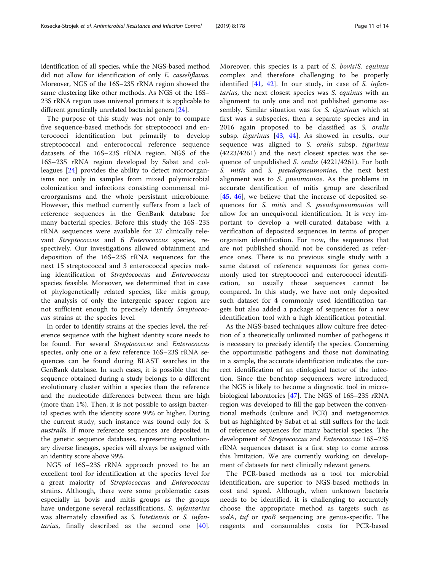identification of all species, while the NGS-based method did not allow for identification of only E. casseliflavus. Moreover, NGS of the 16S–23S rRNA region showed the same clustering like other methods. As NGS of the 16S– 23S rRNA region uses universal primers it is applicable to different genetically unrelated bacterial genera [[24](#page-12-0)].

The purpose of this study was not only to compare five sequence-based methods for streptococci and enterococci identification but primarily to develop streptococcal and enterococcal reference sequence datasets of the 16S–23S rRNA region. NGS of the 16S–23S rRNA region developed by Sabat and colleagues [\[24](#page-12-0)] provides the ability to detect microorganisms not only in samples from mixed polymicrobial colonization and infections consisting commensal microorganisms and the whole persistant microbiome. However, this method currently suffers from a lack of reference sequences in the GenBank database for many bacterial species. Before this study the 16S–23S rRNA sequences were available for 27 clinically relevant Streptococcus and 6 Enterococcus species, respectively. Our investigations allowed obtainment and deposition of the 16S–23S rRNA sequences for the next 15 streptococcal and 3 enterococcal species making identification of Streptococcus and Enterococcus species feasible. Moreover, we determined that in case of phylogenetically related species, like mitis group, the analysis of only the intergenic spacer region are not sufficient enough to precisely identify Streptococcus strains at the species level.

In order to identify strains at the species level, the reference sequence with the highest identity score needs to be found. For several Streptococcus and Enterococcus species, only one or a few reference 16S–23S rRNA sequences can be found during BLAST searches in the GenBank database. In such cases, it is possible that the sequence obtained during a study belongs to a different evolutionary cluster within a species than the reference and the nucleotide differences between them are high (more than 1%). Then, it is not possible to assign bacterial species with the identity score 99% or higher. During the current study, such instance was found only for S. australis. If more reference sequences are deposited in the genetic sequence databases, representing evolutionary diverse lineages, species will always be assigned with an identity score above 99%.

NGS of 16S–23S rRNA approach proved to be an excellent tool for identification at the species level for a great majority of Streptococcus and Enterococcus strains. Although, there were some problematic cases especially in bovis and mitis groups as the groups have undergone several reclassifications. S. infantarius was alternately classified as *S. lutetiensis* or *S. infan*tarius, finally described as the second one [\[40](#page-12-0)]. Moreover, this species is a part of S. bovis/S. equinus complex and therefore challenging to be properly identified  $[41, 42]$  $[41, 42]$  $[41, 42]$  $[41, 42]$ . In our study, in case of S. infantarius, the next closest species was S. equinus with an alignment to only one and not published genome assembly. Similar situation was for S. tigurinus which at first was a subspecies, then a separate species and in 2016 again proposed to be classified as S. oralis subsp. tigurinus [\[43](#page-13-0), [44](#page-13-0)]. As showed in results, our sequence was aligned to S. oralis subsp. tigurinus (4223/4261) and the next closest species was the sequence of unpublished S. oralis (4221/4261). For both S. *mitis* and S. *pseudopneumoniae*, the next best alignment was to S. pneumoniae. As the problems in accurate dentification of mitis group are described [[45,](#page-13-0) [46\]](#page-13-0), we believe that the increase of deposited sequences for S. mitis and S. pseudopneumoniae will allow for an unequivocal identification. It is very important to develop a well-curated database with a verification of deposited sequences in terms of proper organism identification. For now, the sequences that are not published should not be considered as reference ones. There is no previous single study with a same dataset of reference sequences for genes commonly used for streptococci and enterococci identification, so usually those sequences cannot be compared. In this study, we have not only deposited such dataset for 4 commonly used identification targets but also added a package of sequences for a new identification tool with a high identification potential.

As the NGS-based techniques allow culture free detection of a theoretically unlimited number of pathogens it is necessary to precisely identify the species. Concerning the opportunistic pathogens and those not dominating in a sample, the accurate identification indicates the correct identification of an etiological factor of the infection. Since the benchtop sequencers were introduced, the NGS is likely to become a diagnostic tool in microbiological laboratories [[47\]](#page-13-0). The NGS of 16S–23S rRNA region was developed to fill the gap between the conventional methods (culture and PCR) and metagenomics but as highlighted by Sabat et al. still suffers for the lack of reference sequences for many bacterial species. The development of Streptococcus and Enterococcus 16S–23S rRNA sequences dataset is a first step to come across this limitation. We are currently working on development of datasets for next clinically relevant genera.

The PCR-based methods as a tool for microbial identification, are superior to NGS-based methods in cost and speed. Although, when unknown bacteria needs to be identified, it is challenging to accurately choose the appropriate method as targets such as sodA, tuf or rpoB sequencing are genus-specific. The reagents and consumables costs for PCR-based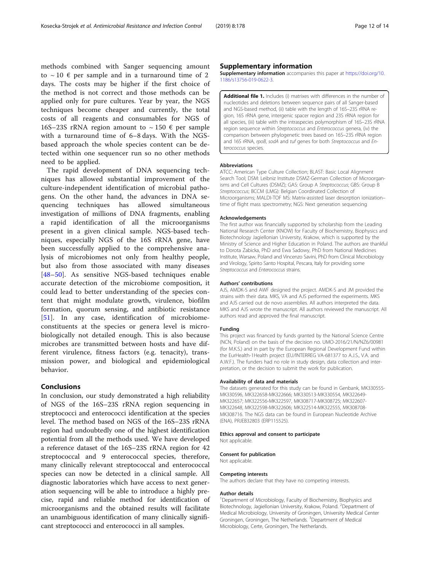<span id="page-11-0"></span>methods combined with Sanger sequencing amount to  $\sim$  10  $\epsilon$  per sample and in a turnaround time of 2 days. The costs may be higher if the first choice of the method is not correct and those methods can be applied only for pure cultures. Year by year, the NGS techniques become cheaper and currently, the total costs of all reagents and consumables for NGS of 16S–23S rRNA region amount to  $\sim$  150  $\epsilon$  per sample with a turnaround time of 6–8 days. With the NGSbased approach the whole species content can be detected within one sequencer run so no other methods need to be applied.

The rapid development of DNA sequencing techniques has allowed substantial improvement of the culture-independent identification of microbial pathogens. On the other hand, the advances in DNA sequencing techniques has allowed simultaneous investigation of millions of DNA fragments, enabling a rapid identification of all the microorganisms present in a given clinical sample. NGS-based techniques, especially NGS of the 16S rRNA gene, have been successfully applied to the comprehensive analysis of microbiomes not only from healthy people, but also from those associated with many diseases [[48](#page-13-0)–[50\]](#page-13-0). As sensitive NGS-based techniques enable accurate detection of the microbiome composition, it could lead to better understanding of the species content that might modulate growth, virulence, biofilm formation, quorum sensing, and antibiotic resistance [[51\]](#page-13-0). In any case, identification of microbiomeconstituents at the species or genera level is microbiologically not detailed enough. This is also because microbes are transmitted between hosts and have different virulence, fitness factors (e.g. tenacity), transmission power, and biological and epidemiological behavior.

# Conclusions

In conclusion, our study demonstrated a high reliability of NGS of the 16S–23S rRNA region sequencing in streptococci and enterococci identification at the species level. The method based on NGS of the 16S–23S rRNA region had undoubtedly one of the highest identification potential from all the methods used. We have developed a reference dataset of the 16S–23S rRNA region for 42 streptococcal and 9 enterococcal species, therefore, many clinically relevant streptococcal and enterococcal species can now be detected in a clinical sample. All diagnostic laboratories which have access to next generation sequencing will be able to introduce a highly precise, rapid and reliable method for identification of microorganisms and the obtained results will facilitate an unambiguous identification of many clinically significant streptococci and enterococci in all samples.

# Supplementary information

Supplementary information accompanies this paper at [https://doi.org/10.](https://doi.org/10.1186/s13756-019-0622-3) [1186/s13756-019-0622-3.](https://doi.org/10.1186/s13756-019-0622-3)

Additional file 1. Includes (i) matrixes with differences in the number of nucleotides and deletions between sequence pairs of all Sanger-based and NGS-based method, (ii) table with the length of 16S–23S rRNA region, 16S rRNA gene, intergenic spacer region and 23S rRNA region for all species, (iii) table with the intraspecies polymorphism of 16S–23S rRNA region sequence within Streptococcus and Enterococcus genera, (iv) the comparison between phylogenetic trees based on 16S–23S rRNA region and 16S rRNA, rpoB, sodA and tuf genes for both Streptococcus and Enterococcus species.

#### Abbreviations

ATCC: American Type Culture Collection; BLAST: Basic Local Alignment Search Tool; DSM: Leibniz Institute DSMZ-German Collection of Microorganisms and Cell Cultures (DSMZ); GAS: Group A Streptococcus; GBS: Group B Streptococcus; BCCM (LMG): Belgian Coordinated Collection of Microorganisms; MALDI-TOF MS: Matrix-assisted laser desorption ionization– time of flight mass spectrometry; NGS: Next generation sequencing

#### Acknowledgements

The first author was financially supported by scholarship from the Leading National Research Center (KNOW) for Faculty of Biochemistry, Biophysics and Biotechnology Jagiellonian University, Krakow, which is supported by the Ministry of Science and Higher Education in Poland. The authors are thankful to Dorota Żabicka, PhD and Ewa Sadowy, PhD from National Medicines Institute, Warsaw, Poland and Vincenzo Savini, PhD from Clinical Microbiology and Virology, Spirito Santo Hospital, Pescara, Italy for providing some Streptococcus and Enterococcus strains.

#### Authors' contributions

AJS, AMDK-S and AWF designed the project. AMDK-S and JM provided the strains with their data. MKS, VA and AJS performed the experiments. MKS and AJS carried out de novo assemblies. All authors interpreted the data. MKS and AJS wrote the manuscript. All authors reviewed the manuscript. All authors read and approved the final manuscript.

#### Funding

This project was financed by funds granted by the National Science Centre (NCN, Poland) on the basis of the decision no. UMO-2016/21/N/NZ6/00981 (for M.K.S.) and in part by the European Regional Development Fund within the EurHealth-1Health project (EU/INTERREG VA-681377 to A.J.S., V.A. and A.W.F.). The funders had no role in study design, data collection and interpretation, or the decision to submit the work for publication.

#### Availability of data and materials

The datasets generated for this study can be found in Genbank, MK330555- MK330596, MK322658-MK322666; MK330513-MK330554, MK322649- MK322657; MK322556-MK322597, MK308717-MK308725; MK322607- MK322648, MK322598-MK322606; MK322514-MK322555, MK308708- MK308716. The NGS data can be found in European Nucleotide Archive (ENA), PRJEB32803 (ERP115525).

#### Ethics approval and consent to participate

Not applicable.

#### Consent for publication

Not applicable.

#### Competing interests

The authors declare that they have no competing interests.

#### Author details

<sup>1</sup>Department of Microbiology, Faculty of Biochemistry, Biophysics and Biotechnology, Jagiellonian University, Krakow, Poland. <sup>2</sup>Department of Medical Microbiology, University of Groningen, University Medical Center Groningen, Groningen, The Netherlands. <sup>3</sup> Department of Medical Microbiology, Certe, Groningen, The Netherlands.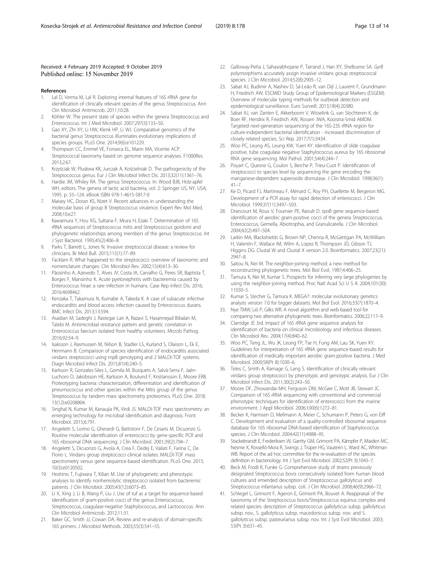#### <span id="page-12-0"></span>Received: 4 February 2019 Accepted: 9 October 2019 Published online: 15 November 2019

#### References

- 1. Lal D, Verma M, Lal R. Exploring internal features of 16S rRNA gene for identification of clinically relevant species of the genus Streptococcus. Ann Clin Microbiol Antimicrob. 2011;10:28.
- 2. Köhler W. The present state of species within the genera Streptococcus and Enterococcus. Int J Med Microbiol. 2007;297(3):133–50.
- 3. Gao XY, Zhi XY, Li HW, Klenk HP, Li WJ. Comparative genomics of the bacterial genus Streptococcus illuminates evolutionary implications of species groups. PLoS One. 2014;9(6):e101229.
- 4. Thompson CC, Emmel VE, Fonseca EL, Marin MA, Vicente ACP. Streptococcal taxonomy based on genome sequence analyses. F1000Res. 2013;2:67.
- 5. Krzyściak W, Pluskwa KK, Jurczak A, Kościelniak D. The pathogenicity of the Streptococcus genus. Eur J Clin Microbiol Infect Dis. 2013;32(11):1361–76.
- 6. Hardie JM, Whiley RA. The genus Streptococcus. In: Wood BJB, Holz-apfel WH, editors. The genera of lactic acid bacteria, vol. 2: Springer US, NY, USA; 1995. p. 55–124. eBook ISBN 978-1-4615-5817-0
- 7. Maisey HC, Doran KS, Nizet V. Recent advances in understanding the molecular basis of group B Streptococcus virulence. Expert Rev Mol Med. 2008;10:e27.
- Kawamura Y, Hou XG, Sultana F, Miura H, Ezaki T. Determination of 16S rRNA sequences of Streptococcus mitis and Streptococcus gordonii and phylogenetic relationships among members of the genus Streptococcus. Int J Syst Bacteriol. 1995;45(2):406–8.
- Parks T, Barrett L, Jones N. Invasive streptococcal disease: a review for clinicians. Br Med Bull. 2015;115(1):77–89.
- 10. Facklam R. What happened to the streptococci: overview of taxonomic and nomenclature changes. Clin Microbiol Rev. 2002;15(4):613–30.
- 11. Pãosinho A, Azevedo T, Alves JV, Costa IA, Carvalho G, Peres SR, Baptista T, Borges F, Mansinho K. Acute pyelonephritis with bacteremia caused by Enterococcus hirae: a rare infection in humans. Case Rep Infect Dis. 2016; 2016:4698462.
- 12. Kenzaka T, Takamura N, Kumabe A, Takeda K. A case of subacute infective endocarditis and blood access infection caused by Enterococcus durans. BMC Infect Dis. 2013;13:594.
- 13. Asadian M, Sadeghi J, Rastegar Lari A, Razavi S, Hasannejad Bibalan M, Talebi M. Antimicrobial resistance pattern and genetic correlation in Enterococcus faecium isolated from healthy volunteers. Microb Pathog. 2016;92:54–9.
- 14. Isaksson J, Rasmussen M, Nilson B, Stadler LS, Kurland S, Olaison L, Ek E, Herrmann B. Comparison of species identification of endocarditis associated viridans streptococci using rnpB genotyping and 2 MALDI-TOF systems. Diagn Microbiol Infect Dis. 2015;81(4):240–5.
- 15. Karlsson R, Gonzales-Siles L, Gomila M, Busquets A, Salvà-Serra F, Jaén-Luchoro D, Jakobsson HE, Karlsson A, Boulund F, Kristiansson E, Moore ERB. Proteotyping bacteria: characterization, differentiation and identification of pneumococcus and other species within the Mitis group of the genus Streptococcus by tandem mass spectrometry proteomics. PLoS One. 2018; 13(12):e0208804.
- 16. Singhal N, Kumar M, Kanaujia PK, Virdi JS. MALDI-TOF mass spectrometry: an emerging technology for microbial identification and diagnosis. Front Microbiol. 2015;6:791.
- 17. Angeletti S, Lorino G, Gherardi G, Battistoni F, De Cesaris M, Dicuonzo G. Routine molecular identification of enterococci by gene-specific PCR and 16S ribosomal DNA sequencing. J Clin Microbiol. 2001;39(2):794–7.
- 18. Angeletti S, Dicuonzo G, Avola A, Crea F, Dedej E, Vailati F, Farina C, De Florio L. Viridans group streptococci clinical isolates: MALDI-TOF mass spectrometry versus gene sequence-based identification. PLoS One. 2015; 10(3):e0120502.
- 19. Hoshino T, Fujiwara T, Kilian M. Use of phylogenetic and phenotypic analyses to identify nonhemolytic streptococci isolated from bacteremic patients. J Clin Microbiol. 2005;43(12):6073–85.
- 20. Li X, Xing J, Li B, Wang P, Liu J. Use of tuf as a target for sequence-based identification of gram-positive cocci of the genus Enterococcus, Streptococcus, coagulase-negative Staphylococcus, and Lactococcus. Ann Clin Microbiol Antimicrob. 2012;11:31.
- 21. Baker GC, Smith JJ, Cowan DA. Review and re-analysis of domain-specific 16S primers. J Microbiol Methods. 2003;55(3):541–55.
- 22. Galloway-Peña J, Sahasrabhojane P, Tarrand J, Han XY, Shelburne SA. GyrB polymorphisms accurately assign invasive viridans group streptococcal species. J Clin Microbiol. 2014;52(8):2905–12.
- 23. Sabat AJ, Budimir A, Nashev D, Sá-Leão R, van Dijl J, Laurent F, Grundmann H, Friedrich AW. ESCMID Study Group of Epidemiological Markers (ESGEM). Overview of molecular typing methods for outbreak detection and epidemiological surveillance. Euro Surveill. 2013;18(4):20380.
- 24. Sabat AJ, van Zanten E, Akkerboom V, Wisselink G, van Slochteren K, de Boer RF, Hendrix R, Friedrich AW, Rossen JWA, Kooistra-Smid AMDM. Targeted next-generation sequencing of the 16S-23S rRNA region for culture-independent bacterial identification - increased discrimination of closely related species. Sci Rep. 2017;7(1):3434.
- 25. Woo PC, Leung AS, Leung KW, Yuen KY. Identification of slide coagulase positive, tube coagulase negative Staphylococcus aureus by 16S ribosomal RNA gene sequencing. Mol Pathol. 2001;54(4):244–7.
- 26. Poyart C, Quesne G, Coulon S, Berche P, Trieu-Cuot P. Identification of streptococci to species level by sequencing the gene encoding the manganese-dependent superoxide dismutase. J Clin Microbiol. 1998;36(1):  $41 - 7$
- 27. Ke D, Picard FJ, Martineau F, Ménard C, Roy PH, Ouellette M, Bergeron MG. Development of a PCR assay for rapid detection of enterococci. J Clin Microbiol. 1999;37(11):3497–503.
- 28. Drancourt M, Roux V, Fournier PE, Raoult D. rpoB gene sequence-based identification of aerobic gram-positive cocci of the genera Streptococcus, Enterococcus, Gemella, Abiotrophia, and Granulicatella. J Clin Microbiol. 2004;42(2):497–504.
- 29. Larkin MA, Blackshields G, Brown NP, Chenna R, McGettigan PA, McWilliam H, Valentin F, Wallace IM, Wilm A, Lopez R, Thompson JD, Gibson TJ, Higgins DG. Clustal W and Clustal X version 2.0. Bioinformatics. 2007;23(21): 2947–8.
- 30. Saitou N, Nei M. The neighbor-joining method: a new method for reconstructing phylogenetic trees. Mol Biol Evol. 1987;4:406–25.
- 31. Tamura K, Nei M, Kumar S. Prospects for inferring very large phylogenies by using the neighbor-joining method. Proc Natl Acad Sci U S A. 2004;101(30): 11030–5.
- 32. Kumar S, Stecher G, Tamura K. MEGA7: molecular evolutionary genetics analysis version 7.0 for bigger datasets. Mol Biol Evol. 2016;33(7):1870–4.
- 33. Nye TMW, Liò P, Gilks WR. A novel algorithm and web-based tool for comparing two alternative phylogenetic trees. Bioinformatics. 2006;22:117–9.
- 34. Clarridge JE 3rd. Impact of 16S rRNA gene sequence analysis for identification of bacteria on clinical microbiology and infectious diseases. Clin Microbiol Rev. 2004;17(4):840–62.
- 35. Woo PC, Teng JL, Wu JK, Leung FP, Tse H, Fung AM, Lau SK, Yuen KY. Guidelines for interpretation of 16S rRNA gene sequence-based results for identification of medically important aerobic gram-positive bacteria. J Med Microbiol. 2009;58(Pt 8):1030–6.
- 36. Teles C, Smith A, Ramage G, Lang S. Identification of clinically relevant viridans group streptococci by phenotypic and genotypic analysis. Eur J Clin Microbiol Infect Dis. 2011;30(2):243–50.
- 37. Moore DF, Zhowandai MH, Ferguson DM, McGee C, Mott JB, Stewart JC. Comparison of 16S rRNA sequencing with conventional and commercial phenotypic techniques for identification of enterococci from the marine environment. J Appl Microbiol. 2006;100(6):1272–81.
- 38. Becker K, Harmsen D, Mellmann A, Meier C, Schumann P, Peters G, von Eiff C. Development and evaluation of a quality-controlled ribosomal sequence database for 16S ribosomal DNA-based identification of Staphylococcus species. J Clin Microbiol. 2004;42(11):4988–95.
- 39. Stackebrandt E, Frederiksen W, Garrity GM, Grimont PA, Kämpfer P, Maiden MC, Nesme X, Rosselló-Mora R, Swings J, Trüper HG, Vauterin L, Ward AC, Whitman WB. Report of the ad hoc committee for the re-evaluation of the species definition in bacteriology. Int J Syst Evol Microbiol. 2002;52(Pt 3):1043–7.
- 40. Beck M, Frodl R, Funke G. Comprehensive study of strains previously designated Streptococcus bovis consecutively isolated from human blood cultures and emended description of Streptococcus gallolyticus and Streptococcus infantarius subsp. coli. J Clin Microbiol. 2008;46(9):2966–72.
- 41. Schlegel L, Grimont F, Ageron E, Grimont PA, Bouvet A. Reappraisal of the taxonomy of the Streptococcus bovis/Streptococcus equinus complex and related species: description of Streptococcus gallolyticus subsp. gallolyticus subsp. nov., S. gallolyticus subsp. macedonicus subsp. nov. and S. gallolyticus subsp. pasteurianus subsp. nov. Int J Syst Evol Microbiol. 2003; 53(Pt 3):631–45.